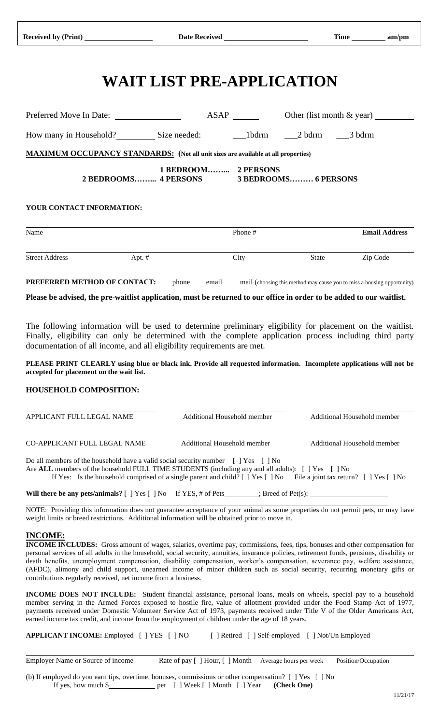# **WAIT LIST PRE-APPLICATION**

| Preferred Move In Date:                                                                  | ASAP                                                             |         | Other (list month $\&$ year) |
|------------------------------------------------------------------------------------------|------------------------------------------------------------------|---------|------------------------------|
|                                                                                          |                                                                  |         |                              |
| <b>MAXIMUM OCCUPANCY STANDARDS:</b> (Not all unit sizes are available at all properties) |                                                                  |         |                              |
|                                                                                          | 1 BEDROOM 2 PERSONS<br>2 BEDROOMS 4 PERSONS 3 BEDROOMS 6 PERSONS |         |                              |
| YOUR CONTACT INFORMATION:                                                                |                                                                  |         |                              |
| Name                                                                                     |                                                                  | Phone # | <b>Email Address</b>         |

| <b>Street Address</b> | Apt. # | ~·<br>City | State | Zip Code |  |
|-----------------------|--------|------------|-------|----------|--|

**PREFERRED METHOD OF CONTACT:** \_\_\_ phone \_\_\_email \_\_\_ mail (choosing this method may cause you to miss a housing opportunity)

**Please be advised, the pre-waitlist application, must be returned to our office in order to be added to our waitlist.** 

The following information will be used to determine preliminary eligibility for placement on the waitlist. Finally, eligibility can only be determined with the complete application process including third party documentation of all income, and all eligibility requirements are met.

**PLEASE PRINT CLEARLY using blue or black ink. Provide all requested information. Incomplete applications will not be accepted for placement on the wait list.**

## **HOUSEHOLD COMPOSITION:**

| APPLICANT FULL LEGAL NAME                                                                                                                                                         | Additional Household member | Additional Household member |
|-----------------------------------------------------------------------------------------------------------------------------------------------------------------------------------|-----------------------------|-----------------------------|
| CO-APPLICANT FULL LEGAL NAME                                                                                                                                                      | Additional Household member | Additional Household member |
| Do all members of the household have a valid social security number [ ] Yes<br>Are ALL members of the household FULL TIME STUDENTS (including any and all adults): [ ] Yes [ ] No | $\lceil \cdot \rceil$ No    |                             |

If Yes: Is the household comprised of a single parent and child? [ ] Yes [ ] No File a joint tax return? [ ] Yes [ ] No

**Will there be any pets/animals?** [ ] Yes [ ] No If YES, # of Pets\_\_\_\_\_\_\_\_; Breed of Pet(s):

NOTE: Providing this information does not guarantee acceptance of your animal as some properties do not permit pets, or may have weight limits or breed restrictions. Additional information will be obtained prior to move in.

#### **INCOME:**

**INCOME INCLUDES:** Gross amount of wages, salaries, overtime pay, commissions, fees, tips, bonuses and other compensation for personal services of all adults in the household, social security, annuities, insurance policies, retirement funds, pensions, disability or death benefits, unemployment compensation, disability compensation, worker's compensation, severance pay, welfare assistance, (AFDC), alimony and child support, unearned income of minor children such as social security, recurring monetary gifts or contributions regularly received, net income from a business.

**INCOME DOES NOT INCLUDE:** Student financial assistance, personal loans, meals on wheels, special pay to a household member serving in the Armed Forces exposed to hostile fire, value of allotment provided under the Food Stamp Act of 1977, payments received under Domestic Volunteer Service Act of 1973, payments received under Title V of the Older Americans Act, earned income tax credit, and income from the employment of children under the age of 18 years.

**APPLICANT INCOME:** Employed [ ] YES [ ] NO [ ] Retired [ ] Self-employed [ ] Not/Un Employed

Employer Name or Source of income Rate of pay [ ] Hour, [ ] Month Average hours per week Position/Occupation

(b) If employed do you earn tips, overtime, bonuses, commissions or other compensation? [ ] Yes [ ] No If yes, how much \$ per [ ] Week [ ] Month [ ] Year **(Check One)**

j.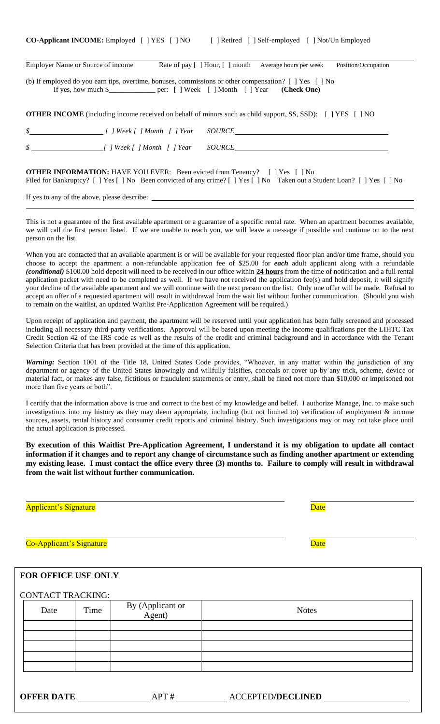| <b>CO-Applicant INCOME:</b> Employed [ ] YES [ ] NO |  | [ ] Retired [ ] Self-employed [ ] Not/Un Employed |  |
|-----------------------------------------------------|--|---------------------------------------------------|--|
|-----------------------------------------------------|--|---------------------------------------------------|--|

| Employer Name or Source of income                                                                                                                                                                                              |  |  | Rate of pay [ ] Hour, [ ] month Average hours per week | Position/Occupation |  |  |  |
|--------------------------------------------------------------------------------------------------------------------------------------------------------------------------------------------------------------------------------|--|--|--------------------------------------------------------|---------------------|--|--|--|
| (b) If employed do you earn tips, overtime, bonuses, commissions or other compensation? $\lceil \cdot \rceil$ Yes $\lceil \cdot \rceil$ No<br>If yes, how much \$________________ per: [ ] Week [ ] Month [ ] Year (Check One) |  |  |                                                        |                     |  |  |  |
| <b>OTHER INCOME</b> (including income received on behalf of minors such as child support, SS, SSD): [ ] YES [ ] NO                                                                                                             |  |  |                                                        |                     |  |  |  |
| \$ [ ] Week [ ] Month [ ] Year                                                                                                                                                                                                 |  |  |                                                        |                     |  |  |  |
|                                                                                                                                                                                                                                |  |  | <i>SOURCE</i> SOURCE                                   |                     |  |  |  |

**OTHER INFORMATION:** HAVE YOU EVER: Been evicted from Tenancy? [ ] Yes [ ] No Filed for Bankruptcy? [ ] Yes [ ] No Been convicted of any crime? [ ] Yes [ ] No Taken out a Student Loan? [ ] Yes [ ] No

If yes to any of the above, please describe:

This is not a guarantee of the first available apartment or a guarantee of a specific rental rate. When an apartment becomes available, we will call the first person listed. If we are unable to reach you, we will leave a message if possible and continue on to the next person on the list.

When you are contacted that an available apartment is or will be available for your requested floor plan and/or time frame, should you choose to accept the apartment a non-refundable application fee of \$25.00 for *each* adult applicant along with a refundable *(conditional)* \$100.00 hold deposit will need to be received in our office within **24 hours** from the time of notification and a full rental application packet with need to be completed as well. If we have not received the application fee(s) and hold deposit, it will signify your decline of the available apartment and we will continue with the next person on the list. Only one offer will be made. Refusal to accept an offer of a requested apartment will result in withdrawal from the wait list without further communication. (Should you wish to remain on the waitlist, an updated Waitlist Pre-Application Agreement will be required.)

Upon receipt of application and payment, the apartment will be reserved until your application has been fully screened and processed including all necessary third-party verifications. Approval will be based upon meeting the income qualifications per the LIHTC Tax Credit Section 42 of the IRS code as well as the results of the credit and criminal background and in accordance with the Tenant Selection Criteria that has been provided at the time of this application.

*Warning:* Section 1001 of the Title 18, United States Code provides, "Whoever, in any matter within the jurisdiction of any department or agency of the United States knowingly and willfully falsifies, conceals or cover up by any trick, scheme, device or material fact, or makes any false, fictitious or fraudulent statements or entry, shall be fined not more than \$10,000 or imprisoned not more than five years or both".

I certify that the information above is true and correct to the best of my knowledge and belief. I authorize Manage, Inc. to make such investigations into my history as they may deem appropriate, including (but not limited to) verification of employment & income sources, assets, rental history and consumer credit reports and criminal history. Such investigations may or may not take place until the actual application is processed.

**By execution of this Waitlist Pre-Application Agreement, I understand it is my obligation to update all contact information if it changes and to report any change of circumstance such as finding another apartment or extending my existing lease. I must contact the office every three (3) months to. Failure to comply will result in withdrawal from the wait list without further communication.**

# Applicant's Signature and the Contract of the Contract of the Date of the Date of the Date of the Date of the Date of the Date of the Date of the Date of the Date of the Date of the Date of the Date of the Date of the Date

Co-Applicant's Signature de Contracteur et al. 2016

# **FOR OFFICE USE ONLY**

| <b>CONTACT TRACKING:</b> |      |                            |                          |
|--------------------------|------|----------------------------|--------------------------|
| Date                     | Time | By (Applicant or<br>Agent) | <b>Notes</b>             |
|                          |      |                            |                          |
|                          |      |                            |                          |
|                          |      |                            |                          |
|                          |      |                            |                          |
|                          |      |                            |                          |
| <b>OFFER DATE</b>        |      | APT#                       | <b>ACCEPTED/DECLINED</b> |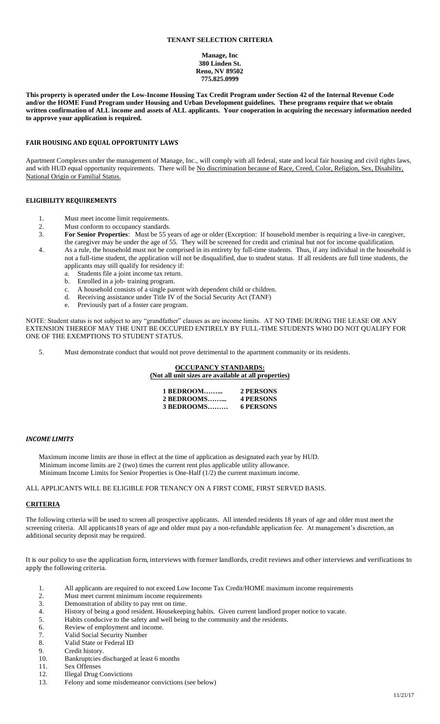#### **TENANT SELECTION CRITERIA**

**Manage, Inc 380 Linden St. Reno, NV 89502 775.825.0999**

**This property is operated under the Low-Income Housing Tax Credit Program under Section 42 of the Internal Revenue Code and/or the HOME Fund Program under Housing and Urban Development guidelines. These programs require that we obtain written confirmation of ALL income and assets of ALL applicants. Your cooperation in acquiring the necessary information needed to approve your application is required.**

#### **FAIR HOUSING AND EQUAL OPPORTUNITY LAWS**

Apartment Complexes under the management of Manage, Inc., will comply with all federal, state and local fair housing and civil rights laws, and with HUD equal opportunity requirements. There will be No discrimination because of Race, Creed, Color, Religion, Sex, Disability, National Origin or Familial Status.

#### **ELIGIBILITY REQUIREMENTS**

- 1. Must meet income limit requirements.
- 2. Must conform to occupancy standards.<br>3. **For Senior Properties**: Must be 55 y
- 3. **For Senior Properties**: Must be 55 years of age or older (Exception: If household member is requiring a live-in caregiver, the caregiver may be under the age of 55. They will be screened for credit and criminal but not for income qualification.
- 4. As a rule, the household must not be comprised in its entirety by full-time students. Thus, if any individual in the household is not a full-time student, the application will not be disqualified, due to student status. If all residents are full time students, the applicants may still qualify for residency if:
	- a. Students file a joint income tax return.
	- b. Enrolled in a job- training program.
	- c. A household consists of a single parent with dependent child or children.
	- d. Receiving assistance under Title IV of the Social Security Act (TANF)
	- e. Previously part of a foster care program.

NOTE: Student status is not subject to any "grandfather" clauses as are income limits. AT NO TIME DURING THE LEASE OR ANY EXTENSION THEREOF MAY THE UNIT BE OCCUPIED ENTIRELY BY FULL-TIME STUDENTS WHO DO NOT QUALIFY FOR ONE OF THE EXEMPTIONS TO STUDENT STATUS.

5. Must demonstrate conduct that would not prove detrimental to the apartment community or its residents.

**OCCUPANCY STANDARDS: (Not all unit sizes are available at all properties)**

| 1 BEDROOM  | 2 PERSONS        |
|------------|------------------|
| 2 BEDROOMS | <b>4 PERSONS</b> |
| 3 BEDROOMS | <b>6 PERSONS</b> |

#### *INCOME LIMITS*

Maximum income limits are those in effect at the time of application as designated each year by HUD. Minimum income limits are 2 (two) times the current rent plus applicable utility allowance. Minimum Income Limits for Senior Properties is One-Half (1/2) the current maximum income.

ALL APPLICANTS WILL BE ELIGIBLE FOR TENANCY ON A FIRST COME, FIRST SERVED BASIS.

#### **CRITERIA**

The following criteria will be used to screen all prospective applicants. All intended residents 18 years of age and older must meet the screening criteria. All applicants18 years of age and older must pay a non-refundable application fee. At management's discretion, an additional security deposit may be required.

It is our policy to use the application form, interviews with former landlords, credit reviews and other interviews and verifications to apply the following criteria.

- 1. All applicants are required to not exceed Low Income Tax Credit/HOME maximum income requirements<br>2. Must meet current minimum income requirements
- Must meet current minimum income requirements
- 3. Demonstration of ability to pay rent on time.<br>4. History of being a good resident. Housekeep
- History of being a good resident. Housekeeping habits. Given current landlord proper notice to vacate.
- 5. Habits conducive to the safety and well being to the community and the residents.
- 6. Review of employment and income.<br>7. Valid Social Security Number
- Valid Social Security Number
- 8. Valid State or Federal ID
- 9. Credit history.
- 10. Bankruptcies discharged at least 6 months<br>11 Sex Offenses
- Sex Offenses
- 12. Illegal Drug Convictions
- 13. Felony and some misdemeanor convictions (see below)